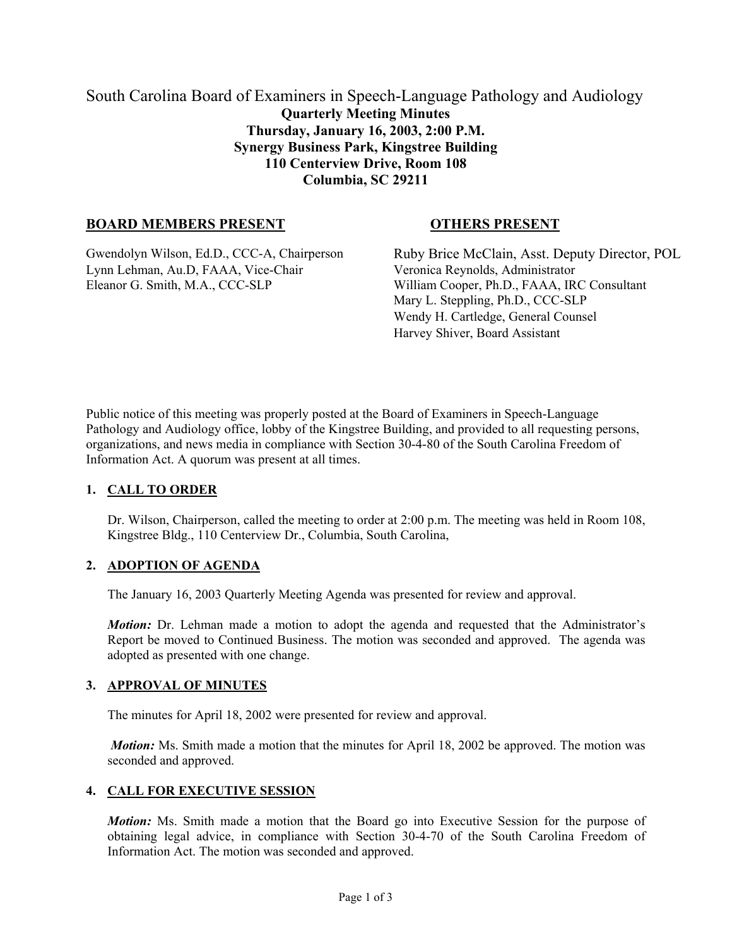# South Carolina Board of Examiners in Speech-Language Pathology and Audiology **Quarterly Meeting Minutes Thursday, January 16, 2003, 2:00 P.M. Synergy Business Park, Kingstree Building 110 Centerview Drive, Room 108 Columbia, SC 29211**

# **BOARD MEMBERS PRESENT OTHERS PRESENT**

Lynn Lehman, Au.D, FAAA, Vice-Chair Veronica Reynolds, Administrator Eleanor G. Smith, M.A., CCC-SLP William Cooper, Ph.D., FAAA, IRC Consultant

Gwendolyn Wilson, Ed.D., CCC-A, Chairperson Ruby Brice McClain, Asst. Deputy Director, POL Mary L. Steppling, Ph.D., CCC-SLP Wendy H. Cartledge, General Counsel Harvey Shiver, Board Assistant

Public notice of this meeting was properly posted at the Board of Examiners in Speech-Language Pathology and Audiology office, lobby of the Kingstree Building, and provided to all requesting persons, organizations, and news media in compliance with Section 30-4-80 of the South Carolina Freedom of Information Act. A quorum was present at all times.

# **1. CALL TO ORDER**

Dr. Wilson, Chairperson, called the meeting to order at 2:00 p.m. The meeting was held in Room 108, Kingstree Bldg., 110 Centerview Dr., Columbia, South Carolina,

# **2. ADOPTION OF AGENDA**

The January 16, 2003 Quarterly Meeting Agenda was presented for review and approval.

*Motion:* Dr. Lehman made a motion to adopt the agenda and requested that the Administrator's Report be moved to Continued Business. The motion was seconded and approved. The agenda was adopted as presented with one change.

#### **3. APPROVAL OF MINUTES**

The minutes for April 18, 2002 were presented for review and approval.

*Motion:* Ms. Smith made a motion that the minutes for April 18, 2002 be approved. The motion was seconded and approved.

#### **4. CALL FOR EXECUTIVE SESSION**

*Motion:* Ms. Smith made a motion that the Board go into Executive Session for the purpose of obtaining legal advice, in compliance with Section 30-4-70 of the South Carolina Freedom of Information Act. The motion was seconded and approved.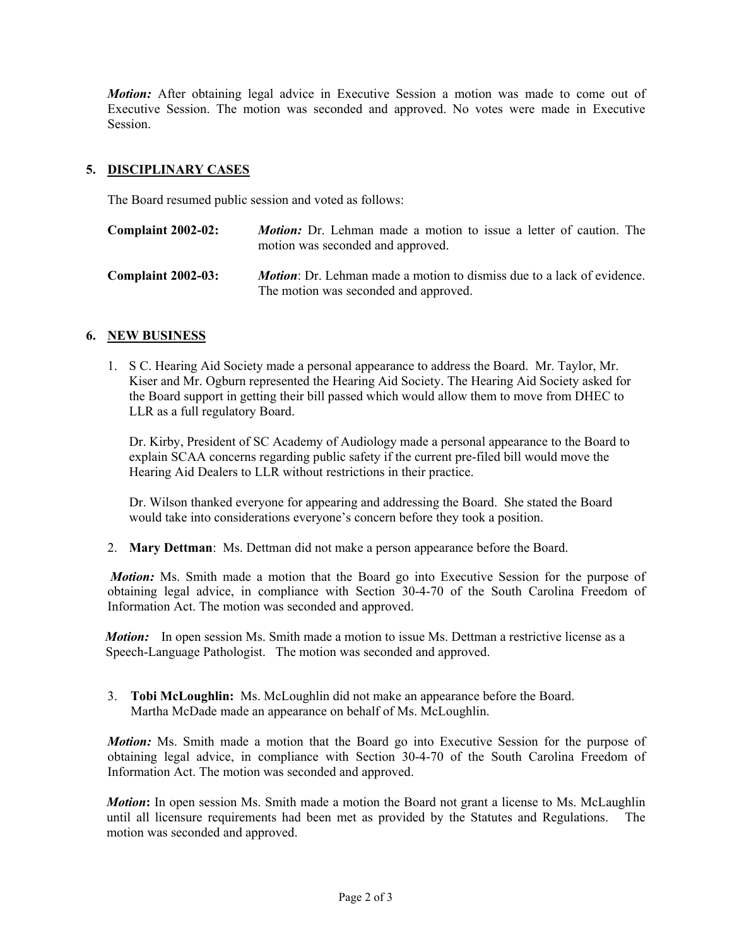*Motion:* After obtaining legal advice in Executive Session a motion was made to come out of Executive Session. The motion was seconded and approved. No votes were made in Executive Session.

## **5. DISCIPLINARY CASES**

The Board resumed public session and voted as follows:

| <b>Complaint 2002-02:</b> | <b><i>Motion:</i></b> Dr. Lehman made a motion to issue a letter of caution. The<br>motion was seconded and approved.          |
|---------------------------|--------------------------------------------------------------------------------------------------------------------------------|
| <b>Complaint 2002-03:</b> | <b><i>Motion</i></b> : Dr. Lehman made a motion to dismiss due to a lack of evidence.<br>The motion was seconded and approved. |

### **6. NEW BUSINESS**

1. S C. Hearing Aid Society made a personal appearance to address the Board. Mr. Taylor, Mr. Kiser and Mr. Ogburn represented the Hearing Aid Society. The Hearing Aid Society asked for the Board support in getting their bill passed which would allow them to move from DHEC to LLR as a full regulatory Board.

Dr. Kirby, President of SC Academy of Audiology made a personal appearance to the Board to explain SCAA concerns regarding public safety if the current pre-filed bill would move the Hearing Aid Dealers to LLR without restrictions in their practice.

Dr. Wilson thanked everyone for appearing and addressing the Board. She stated the Board would take into considerations everyone's concern before they took a position.

2. **Mary Dettman**: Ms. Dettman did not make a person appearance before the Board.

*Motion:* Ms. Smith made a motion that the Board go into Executive Session for the purpose of obtaining legal advice, in compliance with Section 30-4-70 of the South Carolina Freedom of Information Act. The motion was seconded and approved.

*Motion:* In open session Ms. Smith made a motion to issue Ms. Dettman a restrictive license as a Speech-Language Pathologist. The motion was seconded and approved.

3. **Tobi McLoughlin:** Ms. McLoughlin did not make an appearance before the Board. Martha McDade made an appearance on behalf of Ms. McLoughlin.

*Motion:* Ms. Smith made a motion that the Board go into Executive Session for the purpose of obtaining legal advice, in compliance with Section 30-4-70 of the South Carolina Freedom of Information Act. The motion was seconded and approved.

*Motion***:** In open session Ms. Smith made a motion the Board not grant a license to Ms. McLaughlin until all licensure requirements had been met as provided by the Statutes and Regulations. The motion was seconded and approved.